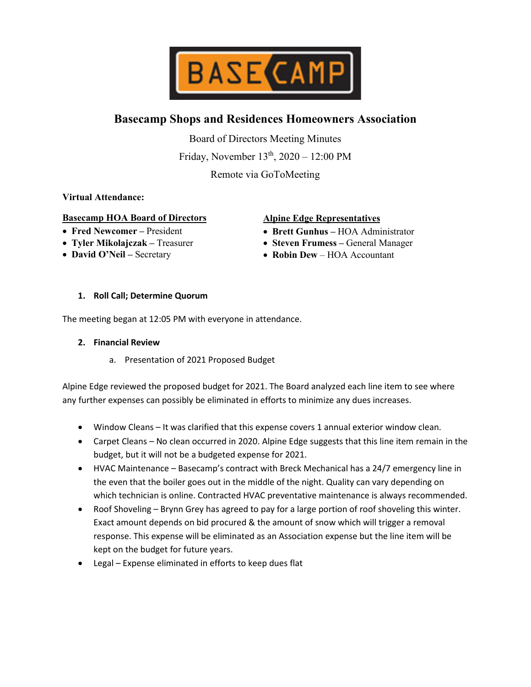

# **Basecamp Shops and Residences Homeowners Association**

Board of Directors Meeting Minutes

Friday, November 13th, 2020 – 12:00 PM

Remote via GoToMeeting

# **Virtual Attendance:**

## **Basecamp HOA Board of Directors**

- **Fred Newcomer –** President
- **Tyler Mikolajczak –** Treasurer
- **David O'Neil –** Secretary

## **Alpine Edge Representatives**

- **Brett Gunhus –** HOA Administrator
- **Steven Frumess –** General Manager
- **Robin Dew** HOA Accountant

#### **1. Roll Call; Determine Quorum**

The meeting began at 12:05 PM with everyone in attendance.

#### **2. Financial Review**

a. Presentation of 2021 Proposed Budget

Alpine Edge reviewed the proposed budget for 2021. The Board analyzed each line item to see where any further expenses can possibly be eliminated in efforts to minimize any dues increases.

- Window Cleans It was clarified that this expense covers 1 annual exterior window clean.
- Carpet Cleans No clean occurred in 2020. Alpine Edge suggests that this line item remain in the budget, but it will not be a budgeted expense for 2021.
- HVAC Maintenance Basecamp's contract with Breck Mechanical has a 24/7 emergency line in the even that the boiler goes out in the middle of the night. Quality can vary depending on which technician is online. Contracted HVAC preventative maintenance is always recommended.
- Roof Shoveling Brynn Grey has agreed to pay for a large portion of roof shoveling this winter. Exact amount depends on bid procured & the amount of snow which will trigger a removal response. This expense will be eliminated as an Association expense but the line item will be kept on the budget for future years.
- Legal Expense eliminated in efforts to keep dues flat